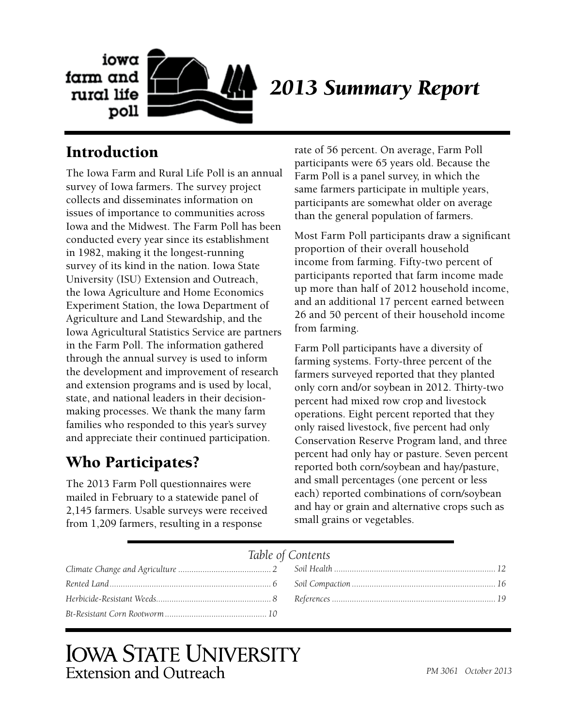

# Introduction

The Iowa Farm and Rural Life Poll is an annual survey of Iowa farmers. The survey project collects and disseminates information on issues of importance to communities across Iowa and the Midwest. The Farm Poll has been conducted every year since its establishment in 1982, making it the longest-running survey of its kind in the nation. Iowa State University (ISU) Extension and Outreach, the Iowa Agriculture and Home Economics Experiment Station, the Iowa Department of Agriculture and Land Stewardship, and the Iowa Agricultural Statistics Service are partners in the Farm Poll. The information gathered through the annual survey is used to inform the development and improvement of research and extension programs and is used by local, state, and national leaders in their decisionmaking processes. We thank the many farm families who responded to this year's survey and appreciate their continued participation.

## Who Participates?

The 2013 Farm Poll questionnaires were mailed in February to a statewide panel of 2,145 farmers. Usable surveys were received from 1,209 farmers, resulting in a response

rate of 56 percent. On average, Farm Poll participants were 65 years old. Because the Farm Poll is a panel survey, in which the same farmers participate in multiple years, participants are somewhat older on average than the general population of farmers.

Most Farm Poll participants draw a significant proportion of their overall household income from farming. Fifty-two percent of participants reported that farm income made up more than half of 2012 household income, and an additional 17 percent earned between 26 and 50 percent of their household income from farming.

Farm Poll participants have a diversity of farming systems. Forty-three percent of the farmers surveyed reported that they planted only corn and/or soybean in 2012. Thirty-two percent had mixed row crop and livestock operations. Eight percent reported that they only raised livestock, five percent had only Conservation Reserve Program land, and three percent had only hay or pasture. Seven percent reported both corn/soybean and hay/pasture, and small percentages (one percent or less each) reported combinations of corn/soybean and hay or grain and alternative crops such as small grains or vegetables.

### *Table of Contents*

# **IOWA STATE UNIVERSITY** Extension and Outreach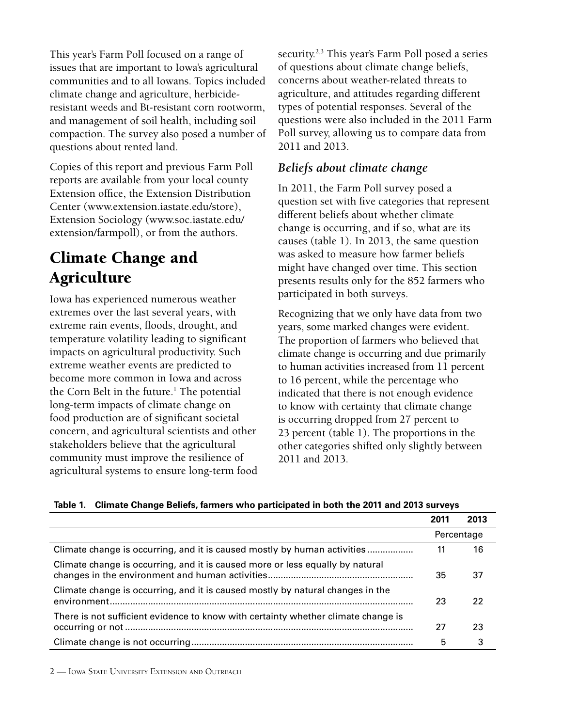<span id="page-1-0"></span>This year's Farm Poll focused on a range of issues that are important to Iowa's agricultural communities and to all Iowans. Topics included climate change and agriculture, herbicideresistant weeds and Bt-resistant corn rootworm, and management of soil health, including soil compaction. The survey also posed a number of questions about rented land.

Copies of this report and previous Farm Poll reports are available from your local county Extension office, the Extension Distribution Center (www.extension.iastate.edu/store), Extension Sociology (www.soc.iastate.edu/ extension/farmpoll), or from the authors.

# Climate Change and Agriculture

Iowa has experienced numerous weather extremes over the last several years, with extreme rain events, floods, drought, and temperature volatility leading to significant impacts on agricultural productivity. Such extreme weather events are predicted to become more common in Iowa and across the Corn Belt in the future.<sup>1</sup> The potential long-term impacts of climate change on food production are of significant societal concern, and agricultural scientists and other stakeholders believe that the agricultural community must improve the resilience of agricultural systems to ensure long-term food security.<sup>2,3</sup> This year's Farm Poll posed a series of questions about climate change beliefs, concerns about weather-related threats to agriculture, and attitudes regarding different types of potential responses. Several of the questions were also included in the 2011 Farm Poll survey, allowing us to compare data from 2011 and 2013.

## *Beliefs about climate change*

In 2011, the Farm Poll survey posed a question set with five categories that represent different beliefs about whether climate change is occurring, and if so, what are its causes (table 1). In 2013, the same question was asked to measure how farmer beliefs might have changed over time. This section presents results only for the 852 farmers who participated in both surveys.

Recognizing that we only have data from two years, some marked changes were evident. The proportion of farmers who believed that climate change is occurring and due primarily to human activities increased from 11 percent to 16 percent, while the percentage who indicated that there is not enough evidence to know with certainty that climate change is occurring dropped from 27 percent to 23 percent (table 1). The proportions in the other categories shifted only slightly between 2011 and 2013.

| Table 1. Chinate Change Bellets, familiers who participated in both the ZVTT and ZVTS Surveys |      |            |
|-----------------------------------------------------------------------------------------------|------|------------|
|                                                                                               | 2011 | 2013       |
|                                                                                               |      | Percentage |
| Climate change is occurring, and it is caused mostly by human activities                      | 11   | 16         |
| Climate change is occurring, and it is caused more or less equally by natural                 | 35   | 37         |
| Climate change is occurring, and it is caused mostly by natural changes in the                | 23   | 22         |
| There is not sufficient evidence to know with certainty whether climate change is             | 27   | 23         |
|                                                                                               | 5    | 3          |

| Table 1. Climate Change Beliefs, farmers who participated in both the 2011 and 2013 surveys |  |  |
|---------------------------------------------------------------------------------------------|--|--|
|                                                                                             |  |  |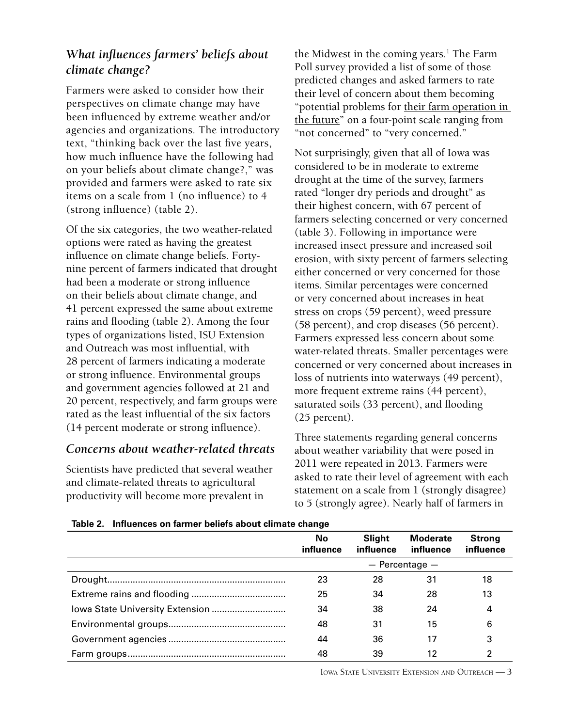## *What influences farmers' beliefs about climate change?*

Farmers were asked to consider how their perspectives on climate change may have been influenced by extreme weather and/or agencies and organizations. The introductory text, "thinking back over the last five years, how much influence have the following had on your beliefs about climate change?," was provided and farmers were asked to rate six items on a scale from 1 (no influence) to 4 (strong influence) (table 2).

Of the six categories, the two weather-related options were rated as having the greatest influence on climate change beliefs. Fortynine percent of farmers indicated that drought had been a moderate or strong influence on their beliefs about climate change, and 41 percent expressed the same about extreme rains and flooding (table 2). Among the four types of organizations listed, ISU Extension and Outreach was most influential, with 28 percent of farmers indicating a moderate or strong influence. Environmental groups and government agencies followed at 21 and 20 percent, respectively, and farm groups were rated as the least influential of the six factors (14 percent moderate or strong influence).

## *Concerns about weather-related threats*

Scientists have predicted that several weather and climate-related threats to agricultural productivity will become more prevalent in

the Midwest in the coming years.<sup>1</sup> The Farm Poll survey provided a list of some of those predicted changes and asked farmers to rate their level of concern about them becoming "potential problems for their farm operation in the future" on a four-point scale ranging from "not concerned" to "very concerned."

Not surprisingly, given that all of Iowa was considered to be in moderate to extreme drought at the time of the survey, farmers rated "longer dry periods and drought" as their highest concern, with 67 percent of farmers selecting concerned or very concerned (table 3). Following in importance were increased insect pressure and increased soil erosion, with sixty percent of farmers selecting either concerned or very concerned for those items. Similar percentages were concerned or very concerned about increases in heat stress on crops (59 percent), weed pressure (58 percent), and crop diseases (56 percent). Farmers expressed less concern about some water-related threats. Smaller percentages were concerned or very concerned about increases in loss of nutrients into waterways (49 percent), more frequent extreme rains (44 percent), saturated soils (33 percent), and flooding (25 percent).

Three statements regarding general concerns about weather variability that were posed in 2011 were repeated in 2013. Farmers were asked to rate their level of agreement with each statement on a scale from 1 (strongly disagree) to 5 (strongly agree). Nearly half of farmers in

| No<br>influence | Slight<br>influence | <b>Moderate</b><br>influence | <b>Strong</b><br>influence |
|-----------------|---------------------|------------------------------|----------------------------|
|                 |                     | $-$ Percentage $-$           |                            |
| 23              | 28                  | 31                           | 18                         |
| 25              | 34                  | 28                           | 13                         |
| 34              | 38                  | 24                           | 4                          |
| 48              | 31                  | 15                           | 6                          |
| 44              | 36                  | 17                           | 3                          |
| 48              | 39                  | 12                           | 2                          |

#### **Table 2. Influences on farmer beliefs about climate change**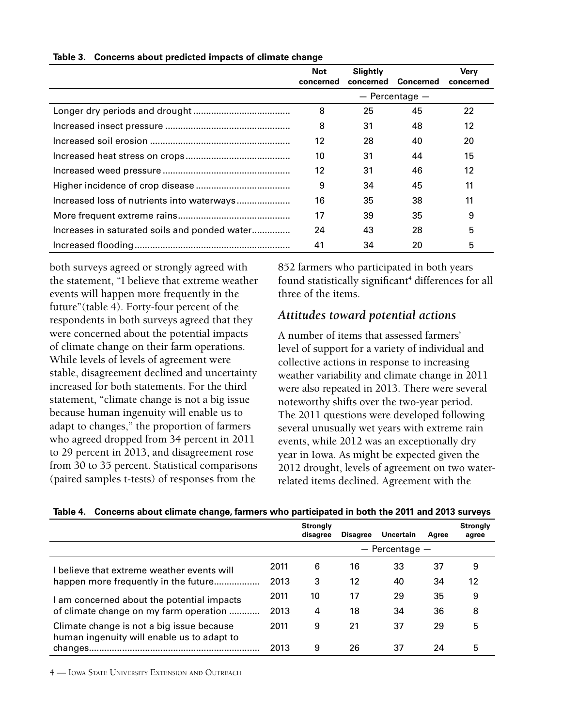|                                               | <b>Not</b><br>concerned | Slightly<br>concerned | Concerned          | <b>Verv</b><br>concerned |
|-----------------------------------------------|-------------------------|-----------------------|--------------------|--------------------------|
|                                               |                         |                       | $-$ Percentage $-$ |                          |
|                                               | 8                       | 25                    | 45                 | 22                       |
|                                               | 8                       | 31                    | 48                 | 12                       |
|                                               | 12                      | 28                    | 40                 | 20                       |
|                                               | 10                      | 31                    | 44                 | 15                       |
|                                               | 12                      | 31                    | 46                 | 12                       |
|                                               | 9                       | 34                    | 45                 | 11                       |
|                                               | 16                      | 35                    | 38                 | 11                       |
|                                               | 17                      | 39                    | 35                 | 9                        |
| Increases in saturated soils and ponded water | 24                      | 43                    | 28                 | 5                        |
|                                               | 41                      | 34                    | 20                 | 5                        |

#### **Table 3. Concerns about predicted impacts of climate change**

both surveys agreed or strongly agreed with the statement, "I believe that extreme weather events will happen more frequently in the future"(table 4). Forty-four percent of the respondents in both surveys agreed that they were concerned about the potential impacts of climate change on their farm operations. While levels of levels of agreement were stable, disagreement declined and uncertainty increased for both statements. For the third statement, "climate change is not a big issue because human ingenuity will enable us to adapt to changes," the proportion of farmers who agreed dropped from 34 percent in 2011 to 29 percent in 2013, and disagreement rose from 30 to 35 percent. Statistical comparisons (paired samples t-tests) of responses from the

852 farmers who participated in both years found statistically significant<sup>4</sup> differences for all three of the items.

### *Attitudes toward potential actions*

A number of items that assessed farmers' level of support for a variety of individual and collective actions in response to increasing weather variability and climate change in 2011 were also repeated in 2013. There were several noteworthy shifts over the two-year period. The 2011 questions were developed following several unusually wet years with extreme rain events, while 2012 was an exceptionally dry year in Iowa. As might be expected given the 2012 drought, levels of agreement on two waterrelated items declined. Agreement with the

|  |  |  | Table 4. Concerns about climate change, farmers who participated in both the 2011 and 2013 surveys |
|--|--|--|----------------------------------------------------------------------------------------------------|
|--|--|--|----------------------------------------------------------------------------------------------------|

|                                                                                         |      | <b>Stronalv</b><br>disagree | <b>Disagree</b> | Uncertain          | Agree | <b>Strongly</b><br>agree |
|-----------------------------------------------------------------------------------------|------|-----------------------------|-----------------|--------------------|-------|--------------------------|
|                                                                                         |      |                             |                 | $-$ Percentage $-$ |       |                          |
| I believe that extreme weather events will                                              | 2011 | 6                           | 16              | 33                 | 37    | 9                        |
| happen more frequently in the future                                                    | 2013 | 3                           | 12              | 40                 | 34    | 12                       |
| I am concerned about the potential impacts                                              | 2011 | 10                          | 17              | 29                 | 35    | 9                        |
| of climate change on my farm operation                                                  | 2013 | 4                           | 18              | 34                 | 36    | 8                        |
| Climate change is not a big issue because<br>human ingenuity will enable us to adapt to | 2011 | 9                           | 21              | 37                 | 29    | 5                        |
|                                                                                         | 2013 | 9                           | 26              | 37                 | 24    | 5                        |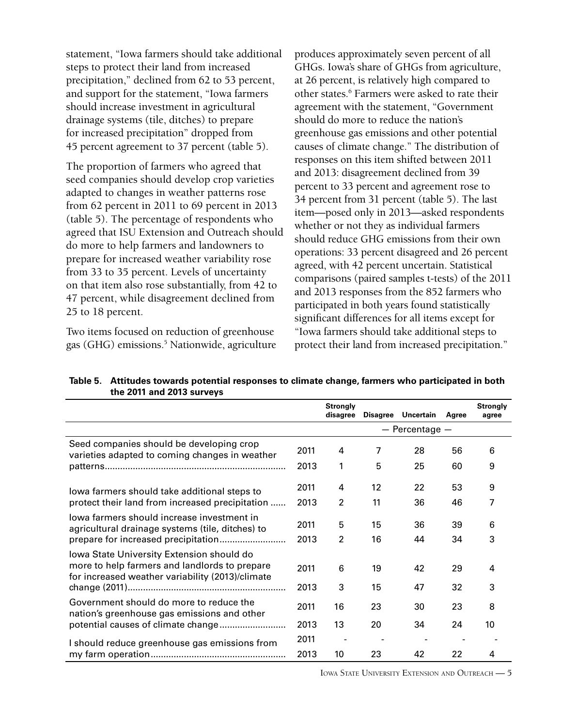statement, "Iowa farmers should take additional steps to protect their land from increased precipitation," declined from 62 to 53 percent, and support for the statement, "Iowa farmers should increase investment in agricultural drainage systems (tile, ditches) to prepare for increased precipitation" dropped from 45 percent agreement to 37 percent (table 5).

The proportion of farmers who agreed that seed companies should develop crop varieties adapted to changes in weather patterns rose from 62 percent in 2011 to 69 percent in 2013 (table 5). The percentage of respondents who agreed that ISU Extension and Outreach should do more to help farmers and landowners to prepare for increased weather variability rose from 33 to 35 percent. Levels of uncertainty on that item also rose substantially, from 42 to 47 percent, while disagreement declined from 25 to 18 percent.

Two items focused on reduction of greenhouse gas (GHG) emissions.5 Nationwide, agriculture

produces approximately seven percent of all GHGs. Iowa's share of GHGs from agriculture, at 26 percent, is relatively high compared to other states.<sup>6</sup> Farmers were asked to rate their agreement with the statement, "Government should do more to reduce the nation's greenhouse gas emissions and other potential causes of climate change." The distribution of responses on this item shifted between 2011 and 2013: disagreement declined from 39 percent to 33 percent and agreement rose to 34 percent from 31 percent (table 5). The last item—posed only in 2013—asked respondents whether or not they as individual farmers should reduce GHG emissions from their own operations: 33 percent disagreed and 26 percent agreed, with 42 percent uncertain. Statistical comparisons (paired samples t-tests) of the 2011 and 2013 responses from the 852 farmers who participated in both years found statistically significant differences for all items except for "Iowa farmers should take additional steps to protect their land from increased precipitation."

|                                                                                                                                                |      | <b>Strongly</b><br>disagree |    | Disagree Uncertain | Agree | <b>Strongly</b><br>agree |
|------------------------------------------------------------------------------------------------------------------------------------------------|------|-----------------------------|----|--------------------|-------|--------------------------|
|                                                                                                                                                |      |                             |    | $-$ Percentage $-$ |       |                          |
| Seed companies should be developing crop<br>varieties adapted to coming changes in weather                                                     | 2011 | 4                           | 7  | 28                 | 56    | 6                        |
|                                                                                                                                                | 2013 | 1                           | 5  | 25                 | 60    | 9                        |
| lowa farmers should take additional steps to                                                                                                   | 2011 | 4                           | 12 | 22                 | 53    | 9                        |
| protect their land from increased precipitation                                                                                                | 2013 | 2                           | 11 | 36                 | 46    | 7                        |
| lowa farmers should increase investment in<br>agricultural drainage systems (tile, ditches) to                                                 | 2011 | 5                           | 15 | 36                 | 39    | 6                        |
|                                                                                                                                                | 2013 | $\overline{2}$              | 16 | 44                 | 34    | 3                        |
| lowa State University Extension should do<br>more to help farmers and landlords to prepare<br>for increased weather variability (2013)/climate | 2011 | 6                           | 19 | 42                 | 29    | 4                        |
|                                                                                                                                                | 2013 | 3                           | 15 | 47                 | 32    | 3                        |
| Government should do more to reduce the<br>nation's greenhouse gas emissions and other                                                         | 2011 | 16                          | 23 | 30                 | 23    | 8                        |
|                                                                                                                                                | 2013 | 13                          | 20 | 34                 | 24    | 10                       |
| I should reduce greenhouse gas emissions from                                                                                                  | 2011 |                             |    |                    |       |                          |
|                                                                                                                                                | 2013 | 10                          | 23 | 42                 | 22    | 4                        |

**Table 5. Attitudes towards potential responses to climate change, farmers who participated in both the 2011 and 2013 surveys**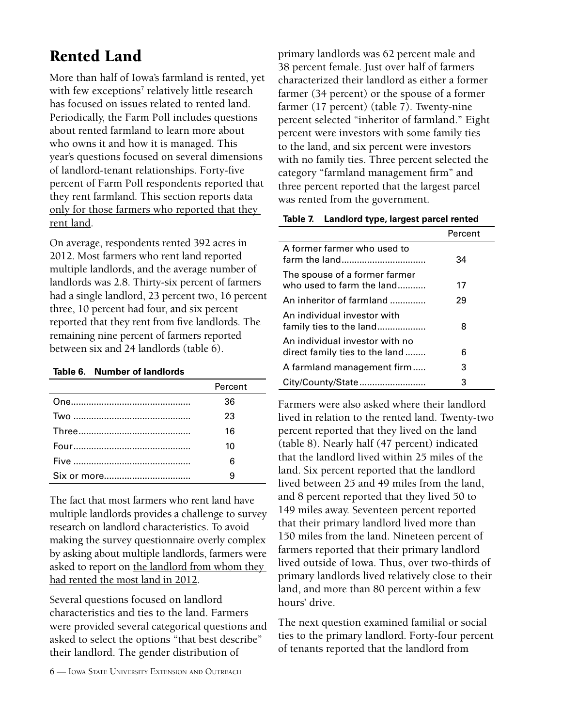# <span id="page-5-0"></span>Rented Land

More than half of Iowa's farmland is rented, yet with few exceptions<sup>7</sup> relatively little research has focused on issues related to rented land. Periodically, the Farm Poll includes questions about rented farmland to learn more about who owns it and how it is managed. This year's questions focused on several dimensions of landlord-tenant relationships. Forty-five percent of Farm Poll respondents reported that they rent farmland. This section reports data only for those farmers who reported that they rent land.

On average, respondents rented 392 acres in 2012. Most farmers who rent land reported multiple landlords, and the average number of landlords was 2.8. Thirty-six percent of farmers had a single landlord, 23 percent two, 16 percent three, 10 percent had four, and six percent reported that they rent from five landlords. The remaining nine percent of farmers reported between six and 24 landlords (table 6).

#### **Table 6. Number of landlords**

| Percent |
|---------|
| 36      |
| 23      |
| 16      |
| 10      |
| ิค      |
|         |

The fact that most farmers who rent land have multiple landlords provides a challenge to survey research on landlord characteristics. To avoid making the survey questionnaire overly complex by asking about multiple landlords, farmers were asked to report on the landlord from whom they had rented the most land in 2012.

Several questions focused on landlord characteristics and ties to the land. Farmers were provided several categorical questions and asked to select the options "that best describe" their landlord. The gender distribution of

primary landlords was 62 percent male and 38 percent female. Just over half of farmers characterized their landlord as either a former farmer (34 percent) or the spouse of a former farmer (17 percent) (table 7). Twenty-nine percent selected "inheritor of farmland." Eight percent were investors with some family ties to the land, and six percent were investors with no family ties. Three percent selected the category "farmland management firm" and three percent reported that the largest parcel was rented from the government.

| Table 7. Landlord type, largest parcel rented |
|-----------------------------------------------|
|-----------------------------------------------|

|                                                                  | Percent |
|------------------------------------------------------------------|---------|
| A former farmer who used to<br>farm the land                     | 34      |
| The spouse of a former farmer<br>who used to farm the land       | 17      |
| An inheritor of farmland                                         | 29      |
| An individual investor with<br>family ties to the land           | 8       |
| An individual investor with no<br>direct family ties to the land | 6       |
| A farmland management firm                                       | 3       |
| City/County/State                                                | 3       |

Farmers were also asked where their landlord lived in relation to the rented land. Twenty-two percent reported that they lived on the land (table 8). Nearly half (47 percent) indicated that the landlord lived within 25 miles of the land. Six percent reported that the landlord lived between 25 and 49 miles from the land, and 8 percent reported that they lived 50 to 149 miles away. Seventeen percent reported that their primary landlord lived more than 150 miles from the land. Nineteen percent of farmers reported that their primary landlord lived outside of Iowa. Thus, over two-thirds of primary landlords lived relatively close to their land, and more than 80 percent within a few hours' drive.

The next question examined familial or social ties to the primary landlord. Forty-four percent of tenants reported that the landlord from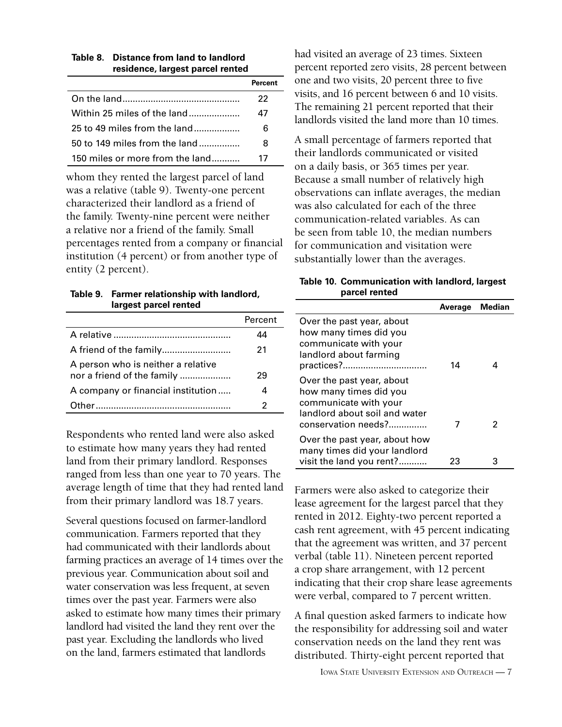| residence, largest parcel rented |         |  |
|----------------------------------|---------|--|
|                                  | Percent |  |
|                                  | 22      |  |
| Within 25 miles of the land      | 47      |  |
| 25 to 49 miles from the land     | 6       |  |
| 50 to 149 miles from the land    | 8       |  |
| 150 miles or more from the land  | 17      |  |

**Table 8. Distance from land to landlord** 

whom they rented the largest parcel of land was a relative (table 9). Twenty-one percent characterized their landlord as a friend of the family. Twenty-nine percent were neither a relative nor a friend of the family. Small percentages rented from a company or financial institution (4 percent) or from another type of entity (2 percent).

| Table 9. Farmer relationship with landlord, |
|---------------------------------------------|
| largest parcel rented                       |

|                                                                  | Percent |
|------------------------------------------------------------------|---------|
|                                                                  | 44      |
|                                                                  | 21      |
| A person who is neither a relative<br>nor a friend of the family | 29      |
| A company or financial institution                               |         |
|                                                                  |         |

Respondents who rented land were also asked to estimate how many years they had rented land from their primary landlord. Responses ranged from less than one year to 70 years. The average length of time that they had rented land from their primary landlord was 18.7 years.

Several questions focused on farmer-landlord communication. Farmers reported that they had communicated with their landlords about farming practices an average of 14 times over the previous year. Communication about soil and water conservation was less frequent, at seven times over the past year. Farmers were also asked to estimate how many times their primary landlord had visited the land they rent over the past year. Excluding the landlords who lived on the land, farmers estimated that landlords

had visited an average of 23 times. Sixteen percent reported zero visits, 28 percent between one and two visits, 20 percent three to five visits, and 16 percent between 6 and 10 visits. The remaining 21 percent reported that their landlords visited the land more than 10 times.

A small percentage of farmers reported that their landlords communicated or visited on a daily basis, or 365 times per year. Because a small number of relatively high observations can inflate averages, the median was also calculated for each of the three communication-related variables. As can be seen from table 10, the median numbers for communication and visitation were substantially lower than the averages.

| Table 10. Communication with landlord, largest |
|------------------------------------------------|
| parcel rented                                  |

| parcer renteu                                                                                                                        |         |        |
|--------------------------------------------------------------------------------------------------------------------------------------|---------|--------|
|                                                                                                                                      | Average | Median |
| Over the past year, about<br>how many times did you<br>communicate with your<br>landlord about farming<br>practices?                 | 14      | 4      |
| Over the past year, about<br>how many times did you<br>communicate with your<br>landlord about soil and water<br>conservation needs? |         | 2      |
| Over the past year, about how<br>many times did your landlord<br>visit the land you rent?                                            | 23      | 3      |

Farmers were also asked to categorize their lease agreement for the largest parcel that they rented in 2012. Eighty-two percent reported a cash rent agreement, with 45 percent indicating that the agreement was written, and 37 percent verbal (table 11). Nineteen percent reported a crop share arrangement, with 12 percent indicating that their crop share lease agreements were verbal, compared to 7 percent written.

A final question asked farmers to indicate how the responsibility for addressing soil and water conservation needs on the land they rent was distributed. Thirty-eight percent reported that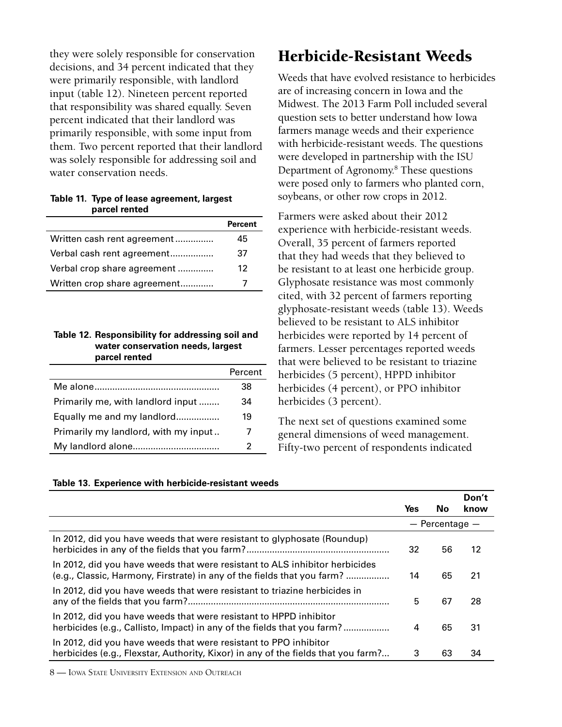<span id="page-7-0"></span>they were solely responsible for conservation decisions, and 34 percent indicated that they were primarily responsible, with landlord input (table 12). Nineteen percent reported that responsibility was shared equally. Seven percent indicated that their landlord was primarily responsible, with some input from them. Two percent reported that their landlord was solely responsible for addressing soil and water conservation needs.

**Table 11. Type of lease agreement, largest parcel rented**

|                              | <b>Percent</b> |
|------------------------------|----------------|
| Written cash rent agreement  | 45             |
| Verbal cash rent agreement   | 37             |
| Verbal crop share agreement  | 12             |
| Written crop share agreement |                |

#### **Table 12. Responsibility for addressing soil and water conservation needs, largest parcel rented**

|                                      | Percent |
|--------------------------------------|---------|
|                                      | 38      |
| Primarily me, with landlord input    | 34      |
| Equally me and my landlord           | 19      |
| Primarily my landlord, with my input |         |
|                                      |         |

#### **Table 13**

| $\overline{2}$                                                                                                                                         | $\boldsymbol{\zeta}$ and the contract of $\boldsymbol{\zeta}$ . We can the contract of the contract of<br>Fifty-two percent of respondents indicated |                    |               |  |  |
|--------------------------------------------------------------------------------------------------------------------------------------------------------|------------------------------------------------------------------------------------------------------------------------------------------------------|--------------------|---------------|--|--|
| Table 13. Experience with herbicide-resistant weeds                                                                                                    |                                                                                                                                                      |                    |               |  |  |
|                                                                                                                                                        | Yes                                                                                                                                                  | No.                | Don't<br>know |  |  |
|                                                                                                                                                        |                                                                                                                                                      | $-$ Percentage $-$ |               |  |  |
| In 2012, did you have weeds that were resistant to glyphosate (Roundup)                                                                                | 32                                                                                                                                                   | 56                 | 12            |  |  |
| In 2012, did you have weeds that were resistant to ALS inhibitor herbicides<br>(e.g., Classic, Harmony, Firstrate) in any of the fields that you farm? | 14                                                                                                                                                   | 65                 | 21            |  |  |
| In 2012, did you have weeds that were resistant to triazine herbicides in                                                                              | 5                                                                                                                                                    | 67                 | 28            |  |  |

In 2012, did you have weeds that were resistant to HPPD inhibitor herbicides (e.g., Callisto, Impact) in any of the fields that you farm? .................. 4 65 31 In 2012, did you have weeds that were resistant to PPO inhibitor herbicides (e.g., Flexstar, Authority, Kixor) in any of the fields that you farm?... 3 63 34

8 — Iowa State University Extension and Outreach

## Herbicide-Resistant Weeds

Weeds that have evolved resistance to herbicides are of increasing concern in Iowa and the Midwest. The 2013 Farm Poll included several question sets to better understand how Iowa farmers manage weeds and their experience with herbicide-resistant weeds. The questions were developed in partnership with the ISU Department of Agronomy.8 These questions were posed only to farmers who planted corn, soybeans, or other row crops in 2012.

Farmers were asked about their 2012 experience with herbicide-resistant weeds. Overall, 35 percent of farmers reported that they had weeds that they believed to be resistant to at least one herbicide group. Glyphosate resistance was most commonly cited, with 32 percent of farmers reporting glyphosate-resistant weeds (table 13). Weeds believed to be resistant to ALS inhibitor herbicides were reported by 14 percent of farmers. Lesser percentages reported weeds that were believed to be resistant to triazine herbicides (5 percent), HPPD inhibitor herbicides (4 percent), or PPO inhibitor herbicides (3 percent).

The next set of questions examined some general dimensions of weed management.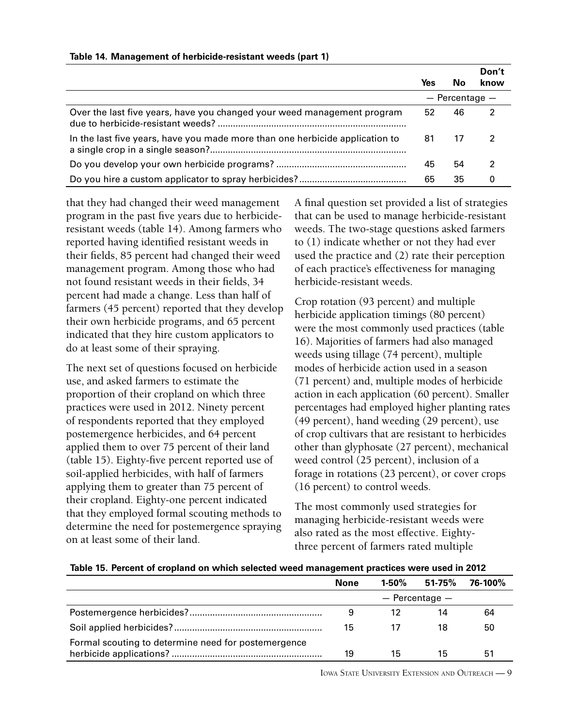|                                                                              | Yes | Nο                 | Don't<br>know |
|------------------------------------------------------------------------------|-----|--------------------|---------------|
|                                                                              |     | $-$ Percentage $-$ |               |
| Over the last five years, have you changed your weed management program      | 52  | 46                 | 2             |
| In the last five years, have you made more than one herbicide application to | 81  | 17                 | 2             |
|                                                                              | 45  | 54                 |               |
|                                                                              | 65  | 35                 | O             |

#### **Table 14. Management of herbicide-resistant weeds (part 1)**

that they had changed their weed management program in the past five years due to herbicideresistant weeds (table 14). Among farmers who reported having identified resistant weeds in their fields, 85 percent had changed their weed management program. Among those who had not found resistant weeds in their fields, 34 percent had made a change. Less than half of farmers (45 percent) reported that they develop their own herbicide programs, and 65 percent indicated that they hire custom applicators to do at least some of their spraying.

The next set of questions focused on herbicide use, and asked farmers to estimate the proportion of their cropland on which three practices were used in 2012. Ninety percent of respondents reported that they employed postemergence herbicides, and 64 percent applied them to over 75 percent of their land (table 15). Eighty-five percent reported use of soil-applied herbicides, with half of farmers applying them to greater than 75 percent of their cropland. Eighty-one percent indicated that they employed formal scouting methods to determine the need for postemergence spraying on at least some of their land.

A final question set provided a list of strategies that can be used to manage herbicide-resistant weeds. The two-stage questions asked farmers to (1) indicate whether or not they had ever used the practice and (2) rate their perception of each practice's effectiveness for managing herbicide-resistant weeds.

Crop rotation (93 percent) and multiple herbicide application timings (80 percent) were the most commonly used practices (table 16). Majorities of farmers had also managed weeds using tillage (74 percent), multiple modes of herbicide action used in a season (71 percent) and, multiple modes of herbicide action in each application (60 percent). Smaller percentages had employed higher planting rates (49 percent), hand weeding (29 percent), use of crop cultivars that are resistant to herbicides other than glyphosate (27 percent), mechanical weed control (25 percent), inclusion of a forage in rotations (23 percent), or cover crops (16 percent) to control weeds.

The most commonly used strategies for managing herbicide-resistant weeds were also rated as the most effective. Eightythree percent of farmers rated multiple

| Table 15. Percent of cropland on which selected weed management practices were used in 2012 |  |
|---------------------------------------------------------------------------------------------|--|
|---------------------------------------------------------------------------------------------|--|

|                                                     | <b>None</b>        |    | 1-50% 51-75% 76-100% |    |  |  |  |
|-----------------------------------------------------|--------------------|----|----------------------|----|--|--|--|
|                                                     | $-$ Percentage $-$ |    |                      |    |  |  |  |
|                                                     | 9                  |    | 14                   | 64 |  |  |  |
|                                                     | 15                 | 17 | 18                   | 50 |  |  |  |
| Formal scouting to determine need for postemergence |                    |    |                      |    |  |  |  |
|                                                     | 19                 | 15 | 15                   | 51 |  |  |  |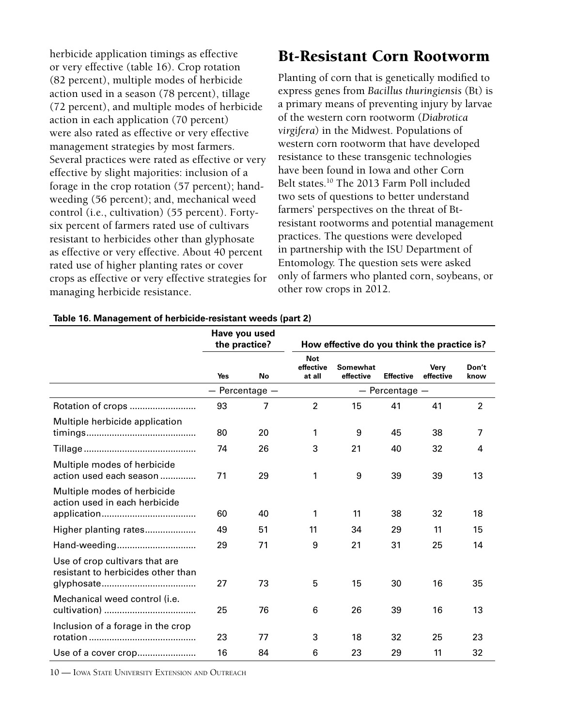<span id="page-9-0"></span>herbicide application timings as effective or very effective (table 16). Crop rotation (82 percent), multiple modes of herbicide action used in a season (78 percent), tillage (72 percent), and multiple modes of herbicide action in each application (70 percent) were also rated as effective or very effective management strategies by most farmers. Several practices were rated as effective or very effective by slight majorities: inclusion of a forage in the crop rotation (57 percent); handweeding (56 percent); and, mechanical weed control (i.e., cultivation) (55 percent). Fortysix percent of farmers rated use of cultivars resistant to herbicides other than glyphosate as effective or very effective. About 40 percent rated use of higher planting rates or cover crops as effective or very effective strategies for managing herbicide resistance.

## Bt-Resistant Corn Rootworm

Planting of corn that is genetically modified to express genes from *Bacillus thuringiensis* (Bt) is a primary means of preventing injury by larvae of the western corn rootworm (*Diabrotica virgifera*) in the Midwest. Populations of western corn rootworm that have developed resistance to these transgenic technologies have been found in Iowa and other Corn Belt states.<sup>10</sup> The 2013 Farm Poll included two sets of questions to better understand farmers' perspectives on the threat of Btresistant rootworms and potential management practices. The questions were developed in partnership with the ISU Department of Entomology. The question sets were asked only of farmers who planted corn, soybeans, or other row crops in 2012.

|                                                                      | Have you used<br>the practice? |                    | How effective do you think the practice is? |                              |                  |                          |                |
|----------------------------------------------------------------------|--------------------------------|--------------------|---------------------------------------------|------------------------------|------------------|--------------------------|----------------|
|                                                                      | <b>Yes</b>                     | No                 | <b>Not</b><br>effective<br>at all           | <b>Somewhat</b><br>effective | <b>Effective</b> | <b>Verv</b><br>effective | Don't<br>know  |
|                                                                      |                                | $-$ Percentage $-$ |                                             | $-$ Percentage $-$           |                  |                          |                |
| Rotation of crops                                                    | 93                             | 7                  | $\overline{2}$                              | 15                           | 41               | 41                       | $\overline{2}$ |
| Multiple herbicide application                                       | 80                             | 20                 | 1                                           | 9                            | 45               | 38                       | 7              |
|                                                                      | 74                             | 26                 | 3                                           | 21                           | 40               | 32                       | 4              |
| Multiple modes of herbicide<br>action used each season               | 71                             | 29                 | 1                                           | 9                            | 39               | 39                       | 13             |
| Multiple modes of herbicide<br>action used in each herbicide         | 60                             | 40                 | 1                                           | 11                           | 38               | 32                       | 18             |
| Higher planting rates                                                | 49                             | 51                 | 11                                          | 34                           | 29               | 11                       | 15             |
| Hand-weeding                                                         | 29                             | 71                 | 9                                           | 21                           | 31               | 25                       | 14             |
| Use of crop cultivars that are<br>resistant to herbicides other than | 27                             | 73                 | 5                                           | 15                           | 30               | 16                       | 35             |
| Mechanical weed control (i.e.                                        | 25                             | 76                 | 6                                           | 26                           | 39               | 16                       | 13             |
| Inclusion of a forage in the crop                                    | 23                             | 77                 | 3                                           | 18                           | 32               | 25                       | 23             |
| Use of a cover crop                                                  | 16                             | 84                 | 6                                           | 23                           | 29               | 11                       | 32             |

#### **Table 16. Management of herbicide-resistant weeds (part 2)**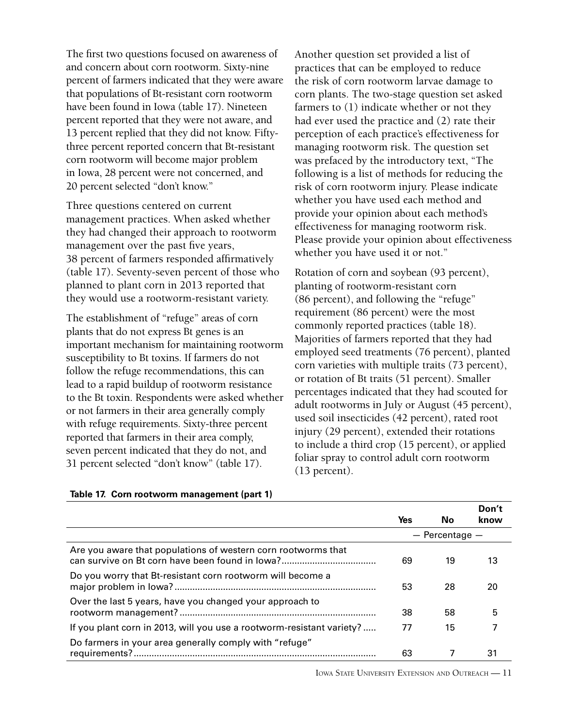The first two questions focused on awareness of and concern about corn rootworm. Sixty-nine percent of farmers indicated that they were aware that populations of Bt-resistant corn rootworm have been found in Iowa (table 17). Nineteen percent reported that they were not aware, and 13 percent replied that they did not know. Fiftythree percent reported concern that Bt-resistant corn rootworm will become major problem in Iowa, 28 percent were not concerned, and 20 percent selected "don't know."

Three questions centered on current management practices. When asked whether they had changed their approach to rootworm management over the past five years, 38 percent of farmers responded affirmatively (table 17). Seventy-seven percent of those who planned to plant corn in 2013 reported that they would use a rootworm-resistant variety.

The establishment of "refuge" areas of corn plants that do not express Bt genes is an important mechanism for maintaining rootworm susceptibility to Bt toxins. If farmers do not follow the refuge recommendations, this can lead to a rapid buildup of rootworm resistance to the Bt toxin. Respondents were asked whether or not farmers in their area generally comply with refuge requirements. Sixty-three percent reported that farmers in their area comply, seven percent indicated that they do not, and 31 percent selected "don't know" (table 17).

Another question set provided a list of practices that can be employed to reduce the risk of corn rootworm larvae damage to corn plants. The two-stage question set asked farmers to (1) indicate whether or not they had ever used the practice and (2) rate their perception of each practice's effectiveness for managing rootworm risk. The question set was prefaced by the introductory text, "The following is a list of methods for reducing the risk of corn rootworm injury. Please indicate whether you have used each method and provide your opinion about each method's effectiveness for managing rootworm risk. Please provide your opinion about effectiveness whether you have used it or not."

Rotation of corn and soybean (93 percent), planting of rootworm-resistant corn (86 percent), and following the "refuge" requirement (86 percent) were the most commonly reported practices (table 18). Majorities of farmers reported that they had employed seed treatments (76 percent), planted corn varieties with multiple traits (73 percent), or rotation of Bt traits (51 percent). Smaller percentages indicated that they had scouted for adult rootworms in July or August (45 percent), used soil insecticides (42 percent), rated root injury (29 percent), extended their rotations to include a third crop (15 percent), or applied foliar spray to control adult corn rootworm (13 percent).

|                                                                       | Yes | No                 | Don't<br>know |
|-----------------------------------------------------------------------|-----|--------------------|---------------|
|                                                                       |     | $-$ Percentage $-$ |               |
| Are you aware that populations of western corn rootworms that         | 69  | 19                 | 13            |
| Do you worry that Bt-resistant corn rootworm will become a            | 53  | 28                 | 20            |
| Over the last 5 years, have you changed your approach to              | 38  | 58                 | 5             |
| If you plant corn in 2013, will you use a rootworm-resistant variety? | 77  | 15                 |               |
| Do farmers in your area generally comply with "refuge"                | 63  |                    | 31            |

#### **Table 17. Corn rootworm management (part 1)**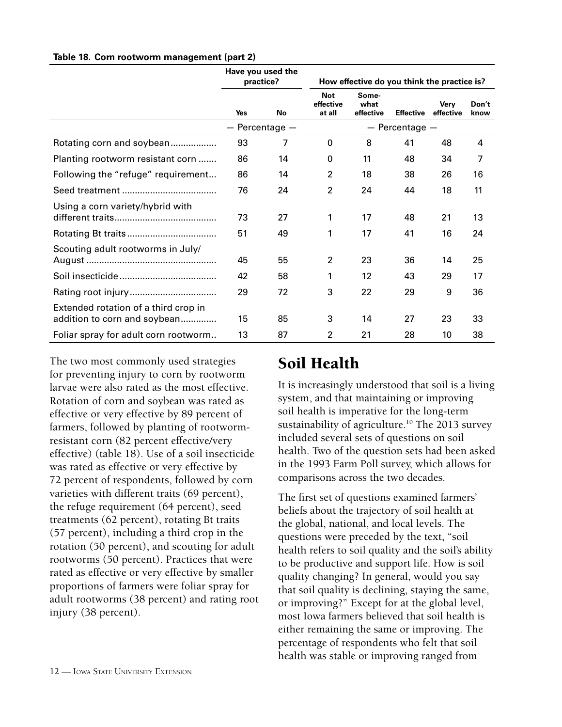|                                                                      | Have you used the<br>practice? |                    | How effective do you think the practice is? |                            |                    |                          |               |
|----------------------------------------------------------------------|--------------------------------|--------------------|---------------------------------------------|----------------------------|--------------------|--------------------------|---------------|
|                                                                      | Yes                            | No                 | <b>Not</b><br>effective<br>at all           | Some-<br>what<br>effective | <b>Effective</b>   | <b>Verv</b><br>effective | Don't<br>know |
|                                                                      |                                | $-$ Percentage $-$ |                                             |                            | $-$ Percentage $-$ |                          |               |
| Rotating corn and soybean                                            | 93                             | 7                  | $\Omega$                                    | 8                          | 41                 | 48                       | 4             |
| Planting rootworm resistant corn                                     | 86                             | 14                 | 0                                           | 11                         | 48                 | 34                       | 7             |
| Following the "refuge" requirement                                   | 86                             | 14                 | $\overline{2}$                              | 18                         | 38                 | 26                       | 16            |
|                                                                      | 76                             | 24                 | $\overline{2}$                              | 24                         | 44                 | 18                       | 11            |
| Using a corn variety/hybrid with                                     | 73                             | 27                 | 1                                           | 17                         | 48                 | 21                       | 13            |
|                                                                      | 51                             | 49                 | 1                                           | 17                         | 41                 | 16                       | 24            |
| Scouting adult rootworms in July/                                    | 45                             | 55                 | $\overline{2}$                              | 23                         | 36                 | 14                       | 25            |
|                                                                      | 42                             | 58                 |                                             | 12                         | 43                 | 29                       | 17            |
|                                                                      | 29                             | 72                 | 3                                           | 22                         | 29                 | 9                        | 36            |
| Extended rotation of a third crop in<br>addition to corn and soybean | 15                             | 85                 | 3                                           | 14                         | 27                 | 23                       | 33            |
| Foliar spray for adult corn rootworm                                 | 13                             | 87                 | $\overline{2}$                              | 21                         | 28                 | 10                       | 38            |

<span id="page-11-0"></span>**Table 18. Corn rootworm management (part 2)**

The two most commonly used strategies for preventing injury to corn by rootworm larvae were also rated as the most effective. Rotation of corn and soybean was rated as effective or very effective by 89 percent of farmers, followed by planting of rootwormresistant corn (82 percent effective/very effective) (table 18). Use of a soil insecticide was rated as effective or very effective by 72 percent of respondents, followed by corn varieties with different traits (69 percent), the refuge requirement (64 percent), seed treatments (62 percent), rotating Bt traits (57 percent), including a third crop in the rotation (50 percent), and scouting for adult rootworms (50 percent). Practices that were rated as effective or very effective by smaller proportions of farmers were foliar spray for adult rootworms (38 percent) and rating root injury (38 percent).

## Soil Health

It is increasingly understood that soil is a living system, and that maintaining or improving soil health is imperative for the long-term sustainability of agriculture.<sup>10</sup> The 2013 survey included several sets of questions on soil health. Two of the question sets had been asked in the 1993 Farm Poll survey, which allows for comparisons across the two decades.

The first set of questions examined farmers' beliefs about the trajectory of soil health at the global, national, and local levels. The questions were preceded by the text, "soil health refers to soil quality and the soil's ability to be productive and support life. How is soil quality changing? In general, would you say that soil quality is declining, staying the same, or improving?" Except for at the global level, most Iowa farmers believed that soil health is either remaining the same or improving. The percentage of respondents who felt that soil health was stable or improving ranged from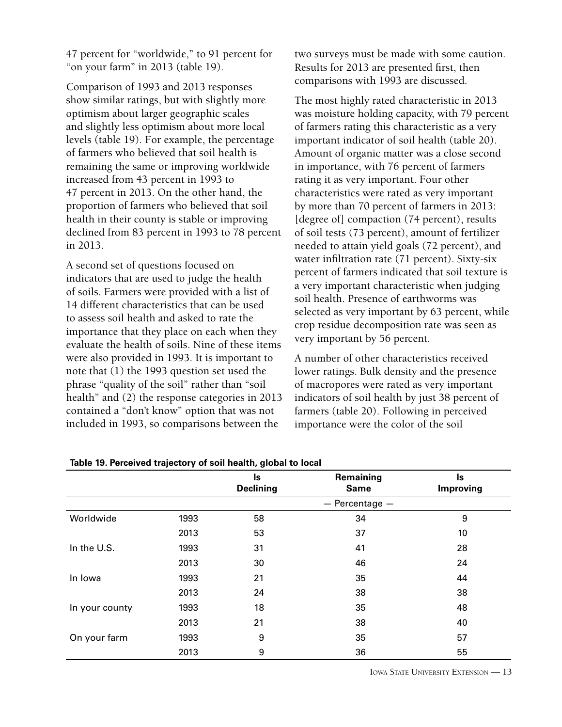47 percent for "worldwide," to 91 percent for "on your farm" in 2013 (table 19).

Comparison of 1993 and 2013 responses show similar ratings, but with slightly more optimism about larger geographic scales and slightly less optimism about more local levels (table 19). For example, the percentage of farmers who believed that soil health is remaining the same or improving worldwide increased from 43 percent in 1993 to 47 percent in 2013. On the other hand, the proportion of farmers who believed that soil health in their county is stable or improving declined from 83 percent in 1993 to 78 percent in 2013.

A second set of questions focused on indicators that are used to judge the health of soils. Farmers were provided with a list of 14 different characteristics that can be used to assess soil health and asked to rate the importance that they place on each when they evaluate the health of soils. Nine of these items were also provided in 1993. It is important to note that (1) the 1993 question set used the phrase "quality of the soil" rather than "soil health" and (2) the response categories in 2013 contained a "don't know" option that was not included in 1993, so comparisons between the

two surveys must be made with some caution. Results for 2013 are presented first, then comparisons with 1993 are discussed.

The most highly rated characteristic in 2013 was moisture holding capacity, with 79 percent of farmers rating this characteristic as a very important indicator of soil health (table 20). Amount of organic matter was a close second in importance, with 76 percent of farmers rating it as very important. Four other characteristics were rated as very important by more than 70 percent of farmers in 2013: [degree of] compaction (74 percent), results of soil tests (73 percent), amount of fertilizer needed to attain yield goals (72 percent), and water infiltration rate (71 percent). Sixty-six percent of farmers indicated that soil texture is a very important characteristic when judging soil health. Presence of earthworms was selected as very important by 63 percent, while crop residue decomposition rate was seen as very important by 56 percent.

A number of other characteristics received lower ratings. Bulk density and the presence of macropores were rated as very important indicators of soil health by just 38 percent of farmers (table 20). Following in perceived importance were the color of the soil

|                |      | ls<br><b>Declining</b> | Remaining<br><b>Same</b> | ls<br><b>Improving</b> |
|----------------|------|------------------------|--------------------------|------------------------|
|                |      |                        | $-$ Percentage $-$       |                        |
| Worldwide      | 1993 | 58                     | 34                       | 9                      |
|                | 2013 | 53                     | 37                       | 10                     |
| In the U.S.    | 1993 | 31                     | 41                       | 28                     |
|                | 2013 | 30                     | 46                       | 24                     |
| In Iowa        | 1993 | 21                     | 35                       | 44                     |
|                | 2013 | 24                     | 38                       | 38                     |
| In your county | 1993 | 18                     | 35                       | 48                     |
|                | 2013 | 21                     | 38                       | 40                     |
| On your farm   | 1993 | 9                      | 35                       | 57                     |
|                | 2013 | 9                      | 36                       | 55                     |

**Table 19. Perceived trajectory of soil health, global to local**

Iowa State University Extension — 13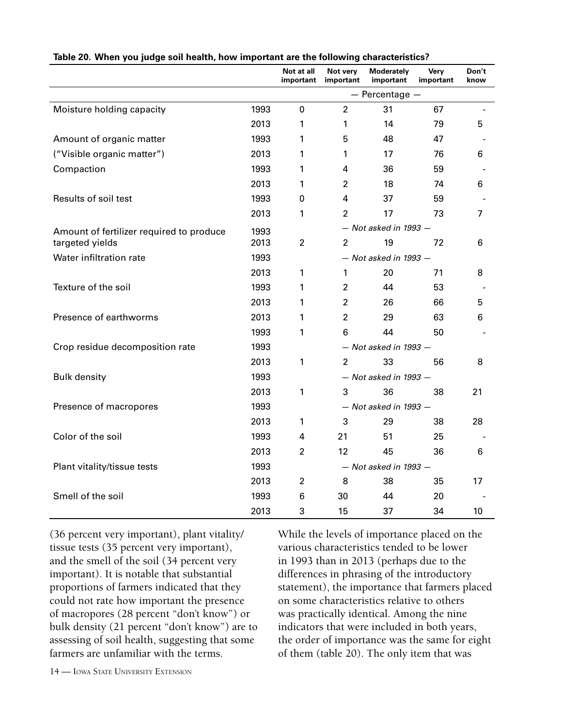|                                          |      | Not at all<br>important   | Not very<br>important | Moderately<br>important   | Very<br>important | Don't<br>know  |
|------------------------------------------|------|---------------------------|-----------------------|---------------------------|-------------------|----------------|
|                                          |      |                           |                       | $-$ Percentage $-$        |                   |                |
| Moisture holding capacity                | 1993 | 0                         | $\overline{2}$        | 31                        | 67                |                |
|                                          | 2013 | 1                         | 1                     | 14                        | 79                | 5              |
| Amount of organic matter                 | 1993 | 1                         | 5                     | 48                        | 47                |                |
| ("Visible organic matter")               | 2013 | 1                         | 1                     | 17                        | 76                | 6              |
| Compaction                               | 1993 | 1                         | 4                     | 36                        | 59                |                |
|                                          | 2013 | 1                         | $\overline{2}$        | 18                        | 74                | 6              |
| Results of soil test                     | 1993 | 0                         | 4                     | 37                        | 59                |                |
|                                          | 2013 | 1                         | $\overline{2}$        | 17                        | 73                | $\overline{7}$ |
| Amount of fertilizer required to produce | 1993 |                           |                       | $-$ Not asked in 1993 $-$ |                   |                |
| targeted yields                          | 2013 | $\overline{c}$            | $\mathfrak{p}$        | 19                        | 72                | 6              |
| Water infiltration rate                  | 1993 |                           |                       | $-$ Not asked in 1993 $-$ |                   |                |
|                                          | 2013 | 1                         | $\mathbf{1}$          | 20                        | 71                | 8              |
| Texture of the soil                      | 1993 | 1                         | $\overline{2}$        | 44                        | 53                |                |
|                                          | 2013 | 1                         | $\overline{2}$        | 26                        | 66                | 5              |
| Presence of earthworms                   | 2013 | 1                         | $\overline{2}$        | 29                        | 63                | 6              |
|                                          | 1993 | 1                         | 6                     | 44                        | 50                |                |
| Crop residue decomposition rate          | 1993 |                           |                       | $-$ Not asked in 1993 $-$ |                   |                |
|                                          | 2013 | 1                         | $\overline{2}$        | 33                        | 56                | 8              |
| <b>Bulk density</b>                      | 1993 |                           |                       | $-$ Not asked in 1993 $-$ |                   |                |
|                                          | 2013 | 1                         | 3                     | 36                        | 38                | 21             |
| Presence of macropores                   | 1993 | $-$ Not asked in 1993 $-$ |                       |                           |                   |                |
|                                          | 2013 | 1                         | 3                     | 29                        | 38                | 28             |
| Color of the soil                        | 1993 | 4                         | 21                    | 51                        | 25                |                |
|                                          | 2013 | $\overline{2}$            | 12                    | 45                        | 36                | 6              |
| Plant vitality/tissue tests              | 1993 | $-$ Not asked in 1993 $-$ |                       |                           |                   |                |
|                                          | 2013 | $\overline{2}$            | 8                     | 38                        | 35                | 17             |
| Smell of the soil                        | 1993 | 6                         | 30                    | 44                        | 20                |                |
|                                          | 2013 | 3                         | 15                    | 37                        | 34                | 10             |

#### **Table 20. When you judge soil health, how important are the following characteristics?**

(36 percent very important), plant vitality/ tissue tests (35 percent very important), and the smell of the soil (34 percent very important). It is notable that substantial proportions of farmers indicated that they could not rate how important the presence of macropores (28 percent "don't know") or bulk density (21 percent "don't know") are to assessing of soil health, suggesting that some farmers are unfamiliar with the terms.

While the levels of importance placed on the various characteristics tended to be lower in 1993 than in 2013 (perhaps due to the differences in phrasing of the introductory statement), the importance that farmers placed on some characteristics relative to others was practically identical. Among the nine indicators that were included in both years, the order of importance was the same for eight of them (table 20). The only item that was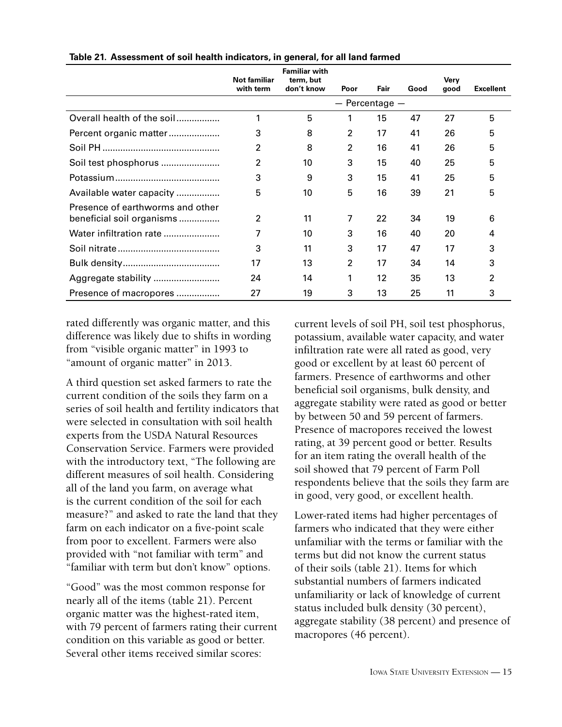|                                  | Not familiar   | <b>Familiar with</b><br>term, but |                    |      |      | Very |                  |
|----------------------------------|----------------|-----------------------------------|--------------------|------|------|------|------------------|
|                                  | with term      | don't know                        | Poor               | Fair | Good | good | <b>Excellent</b> |
|                                  |                |                                   | $-$ Percentage $-$ |      |      |      |                  |
| Overall health of the soil       | 1              | 5                                 | 1                  | 15   | 47   | 27   | 5                |
| Percent organic matter           | 3              | 8                                 | 2                  | 17   | 41   | 26   | 5                |
|                                  | $\overline{2}$ | 8                                 | 2                  | 16   | 41   | 26   | 5                |
| Soil test phosphorus             | $\overline{2}$ | 10                                | 3                  | 15   | 40   | 25   | 5                |
|                                  | 3              | 9                                 | 3                  | 15   | 41   | 25   | 5                |
| Available water capacity         | 5              | 10                                | 5                  | 16   | 39   | 21   | 5                |
| Presence of earthworms and other |                |                                   |                    |      |      |      |                  |
| beneficial soil organisms        | 2              | 11                                | 7                  | 22   | 34   | 19   | 6                |
| Water infiltration rate          | 7              | 10                                | 3                  | 16   | 40   | 20   | 4                |
|                                  | 3              | 11                                | 3                  | 17   | 47   | 17   | 3                |
|                                  | 17             | 13                                | $\overline{2}$     | 17   | 34   | 14   | 3                |
|                                  | 24             | 14                                | 1                  | 12   | 35   | 13   | 2                |
| Presence of macropores           | 27             | 19                                | 3                  | 13   | 25   | 11   | 3                |

**Table 21. Assessment of soil health indicators, in general, for all land farmed**

rated differently was organic matter, and this difference was likely due to shifts in wording from "visible organic matter" in 1993 to "amount of organic matter" in 2013.

A third question set asked farmers to rate the current condition of the soils they farm on a series of soil health and fertility indicators that were selected in consultation with soil health experts from the USDA Natural Resources Conservation Service. Farmers were provided with the introductory text, "The following are different measures of soil health. Considering all of the land you farm, on average what is the current condition of the soil for each measure?" and asked to rate the land that they farm on each indicator on a five-point scale from poor to excellent. Farmers were also provided with "not familiar with term" and "familiar with term but don't know" options.

"Good" was the most common response for nearly all of the items (table 21). Percent organic matter was the highest-rated item, with 79 percent of farmers rating their current condition on this variable as good or better. Several other items received similar scores:

current levels of soil PH, soil test phosphorus, potassium, available water capacity, and water infiltration rate were all rated as good, very good or excellent by at least 60 percent of farmers. Presence of earthworms and other beneficial soil organisms, bulk density, and aggregate stability were rated as good or better by between 50 and 59 percent of farmers. Presence of macropores received the lowest rating, at 39 percent good or better. Results for an item rating the overall health of the soil showed that 79 percent of Farm Poll respondents believe that the soils they farm are in good, very good, or excellent health.

Lower-rated items had higher percentages of farmers who indicated that they were either unfamiliar with the terms or familiar with the terms but did not know the current status of their soils (table 21). Items for which substantial numbers of farmers indicated unfamiliarity or lack of knowledge of current status included bulk density (30 percent), aggregate stability (38 percent) and presence of macropores (46 percent).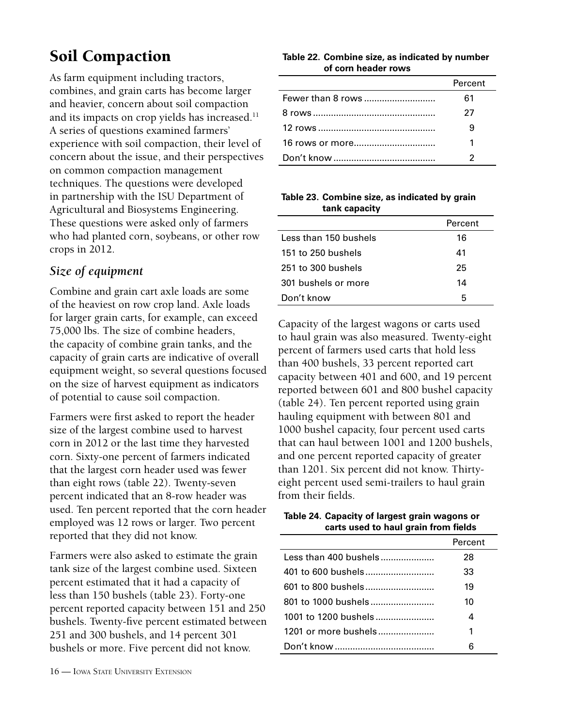# <span id="page-15-0"></span>Soil Compaction

As farm equipment including tractors, combines, and grain carts has become larger and heavier, concern about soil compaction and its impacts on crop yields has increased.<sup>11</sup> A series of questions examined farmers' experience with soil compaction, their level of concern about the issue, and their perspectives on common compaction management techniques. The questions were developed in partnership with the ISU Department of Agricultural and Biosystems Engineering. These questions were asked only of farmers who had planted corn, soybeans, or other row crops in 2012.

## *Size of equipment*

Combine and grain cart axle loads are some of the heaviest on row crop land. Axle loads for larger grain carts, for example, can exceed 75,000 lbs. The size of combine headers, the capacity of combine grain tanks, and the capacity of grain carts are indicative of overall equipment weight, so several questions focused on the size of harvest equipment as indicators of potential to cause soil compaction.

Farmers were first asked to report the header size of the largest combine used to harvest corn in 2012 or the last time they harvested corn. Sixty-one percent of farmers indicated that the largest corn header used was fewer than eight rows (table 22). Twenty-seven percent indicated that an 8-row header was used. Ten percent reported that the corn header employed was 12 rows or larger. Two percent reported that they did not know.

Farmers were also asked to estimate the grain tank size of the largest combine used. Sixteen percent estimated that it had a capacity of less than 150 bushels (table 23). Forty-one percent reported capacity between 151 and 250 bushels. Twenty-five percent estimated between 251 and 300 bushels, and 14 percent 301 bushels or more. Five percent did not know.

**Table 22. Combine size, as indicated by number of corn header rows**

|                   | Percent |
|-------------------|---------|
| Fewer than 8 rows | 61      |
|                   | 27      |
|                   |         |
|                   |         |
|                   |         |

#### **Table 23. Combine size, as indicated by grain tank capacity**

|                       | Percent |
|-----------------------|---------|
| Less than 150 bushels | 16      |
| 151 to 250 bushels    | 41      |
| 251 to 300 bushels    | 25      |
| 301 bushels or more   | 14      |
| Don't know            | 5       |
|                       |         |

Capacity of the largest wagons or carts used to haul grain was also measured. Twenty-eight percent of farmers used carts that hold less than 400 bushels, 33 percent reported cart capacity between 401 and 600, and 19 percent reported between 601 and 800 bushel capacity (table 24). Ten percent reported using grain hauling equipment with between 801 and 1000 bushel capacity, four percent used carts that can haul between 1001 and 1200 bushels, and one percent reported capacity of greater than 1201. Six percent did not know. Thirtyeight percent used semi-trailers to haul grain from their fields.

| Table 24. Capacity of largest grain wagons or |
|-----------------------------------------------|
| carts used to haul grain from fields          |

|                      | Percent |
|----------------------|---------|
|                      | 28      |
|                      | 33      |
| 601 to 800 bushels   | 19      |
| 801 to 1000 bushels  | 10      |
| 1001 to 1200 bushels | 4       |
| 1201 or more bushels | 1       |
|                      | ิค      |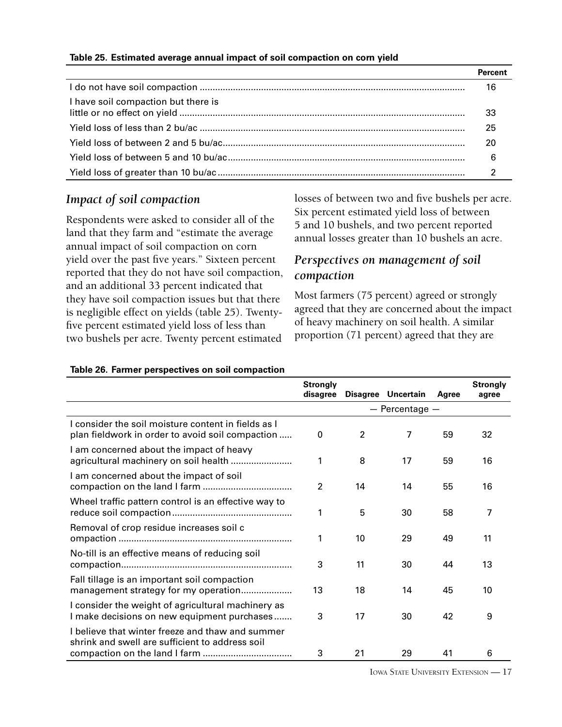#### **Table 25. Estimated average annual impact of soil compaction on corn yield**

|                                     | 16 |
|-------------------------------------|----|
| I have soil compaction but there is | 33 |
|                                     | 25 |
|                                     | 20 |
|                                     | 6  |
|                                     |    |

### *Impact of soil compaction*

Respondents were asked to consider all of the land that they farm and "estimate the average annual impact of soil compaction on corn yield over the past five years." Sixteen percent reported that they do not have soil compaction, and an additional 33 percent indicated that they have soil compaction issues but that there is negligible effect on yields (table 25). Twentyfive percent estimated yield loss of less than two bushels per acre. Twenty percent estimated

losses of between two and five bushels per acre. Six percent estimated yield loss of between 5 and 10 bushels, and two percent reported annual losses greater than 10 bushels an acre.

## *Perspectives on management of soil compaction*

Most farmers (75 percent) agreed or strongly agreed that they are concerned about the impact of heavy machinery on soil health. A similar proportion (71 percent) agreed that they are

|                                                                                                        | <b>Strongly</b> |                |                    |       | <b>Strongly</b> |
|--------------------------------------------------------------------------------------------------------|-----------------|----------------|--------------------|-------|-----------------|
|                                                                                                        | disagree        |                | Disagree Uncertain | Agree | agree           |
|                                                                                                        |                 |                | $-$ Percentage $-$ |       |                 |
| Lconsider the soil moisture content in fields as I<br>plan fieldwork in order to avoid soil compaction | 0               | $\overline{2}$ | 7                  | 59    | 32              |
| I am concerned about the impact of heavy                                                               | 1               | 8              | 17                 | 59    | 16              |
| I am concerned about the impact of soil                                                                | $\overline{2}$  | 14             | 14                 | 55    | 16              |
| Wheel traffic pattern control is an effective way to                                                   | 1               | 5              | 30                 | 58    | 7               |
| Removal of crop residue increases soil c                                                               | 1               | 10             | 29                 | 49    | 11              |
| No-till is an effective means of reducing soil                                                         | 3               | 11             | 30                 | 44    | 13              |
| Fall tillage is an important soil compaction<br>management strategy for my operation                   | 13              | 18             | 14                 | 45    | 10              |
| I consider the weight of agricultural machinery as<br>I make decisions on new equipment purchases      | 3               | 17             | 30                 | 42    | 9               |
| I believe that winter freeze and thaw and summer<br>shrink and swell are sufficient to address soil    |                 |                |                    |       |                 |
|                                                                                                        | 3               | 21             | 29                 | 41    | 6               |

#### **Table 26. Farmer perspectives on soil compaction**

Iowa State University Extension — 17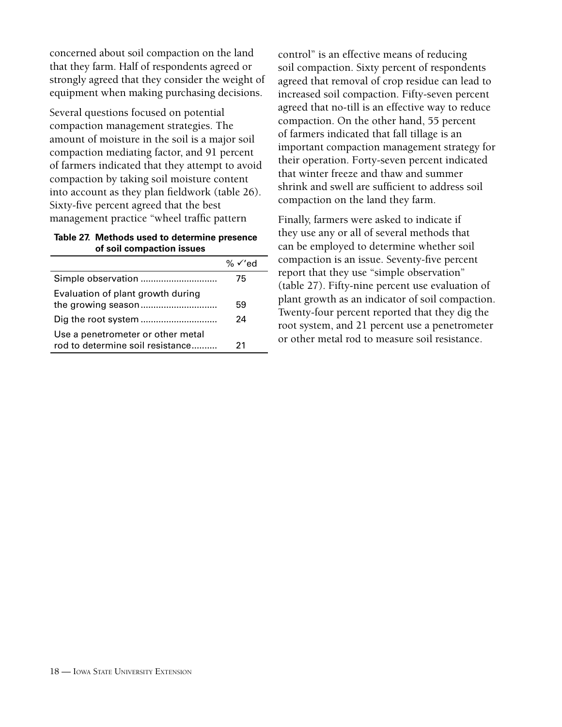concerned about soil compaction on the land that they farm. Half of respondents agreed or strongly agreed that they consider the weight of equipment when making purchasing decisions.

Several questions focused on potential compaction management strategies. The amount of moisture in the soil is a major soil compaction mediating factor, and 91 percent of farmers indicated that they attempt to avoid compaction by taking soil moisture content into account as they plan fieldwork (table 26). Sixty-five percent agreed that the best management practice "wheel traffic pattern

#### **Table 27. Methods used to determine presence of soil compaction issues**

|                                                                       | % $\checkmark$ ed |
|-----------------------------------------------------------------------|-------------------|
|                                                                       | 75                |
| Evaluation of plant growth during                                     | 59                |
|                                                                       | 24                |
| Use a penetrometer or other metal<br>rod to determine soil resistance | 21                |

control" is an effective means of reducing soil compaction. Sixty percent of respondents agreed that removal of crop residue can lead to increased soil compaction. Fifty-seven percent agreed that no-till is an effective way to reduce compaction. On the other hand, 55 percent of farmers indicated that fall tillage is an important compaction management strategy for their operation. Forty-seven percent indicated that winter freeze and thaw and summer shrink and swell are sufficient to address soil compaction on the land they farm.

Finally, farmers were asked to indicate if they use any or all of several methods that can be employed to determine whether soil compaction is an issue. Seventy-five percent report that they use "simple observation" (table 27). Fifty-nine percent use evaluation of plant growth as an indicator of soil compaction. Twenty-four percent reported that they dig the root system, and 21 percent use a penetrometer or other metal rod to measure soil resistance.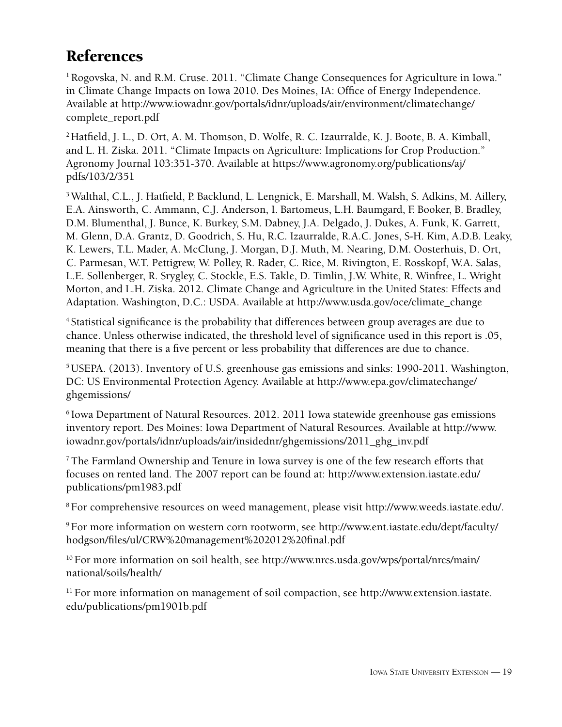# <span id="page-18-0"></span>References

<sup>1</sup> Rogovska, N. and R.M. Cruse. 2011. "Climate Change Consequences for Agriculture in Iowa." in Climate Change Impacts on Iowa 2010. Des Moines, IA: Office of Energy Independence. Available at http://www.iowadnr.gov/portals/idnr/uploads/air/environment/climatechange/ complete\_report.pdf

<sup>2</sup> Hatfield, J. L., D. Ort, A. M. Thomson, D. Wolfe, R. C. Izaurralde, K. J. Boote, B. A. Kimball, and L. H. Ziska. 2011. "Climate Impacts on Agriculture: Implications for Crop Production." Agronomy Journal 103:351-370. Available at https://www.agronomy.org/publications/aj/ pdfs/103/2/351

3 Walthal, C.L., J. Hatfield, P. Backlund, L. Lengnick, E. Marshall, M. Walsh, S. Adkins, M. Aillery, E.A. Ainsworth, C. Ammann, C.J. Anderson, I. Bartomeus, L.H. Baumgard, F. Booker, B. Bradley, D.M. Blumenthal, J. Bunce, K. Burkey, S.M. Dabney, J.A. Delgado, J. Dukes, A. Funk, K. Garrett, M. Glenn, D.A. Grantz, D. Goodrich, S. Hu, R.C. Izaurralde, R.A.C. Jones, S-H. Kim, A.D.B. Leaky, K. Lewers, T.L. Mader, A. McClung, J. Morgan, D.J. Muth, M. Nearing, D.M. Oosterhuis, D. Ort, C. Parmesan, W.T. Pettigrew, W. Polley, R. Rader, C. Rice, M. Rivington, E. Rosskopf, W.A. Salas, L.E. Sollenberger, R. Srygley, C. Stockle, E.S. Takle, D. Timlin, J.W. White, R. Winfree, L. Wright Morton, and L.H. Ziska. 2012. Climate Change and Agriculture in the United States: Effects and Adaptation. Washington, D.C.: USDA. Available at http://www.usda.gov/oce/climate\_change

4 Statistical significance is the probability that differences between group averages are due to chance. Unless otherwise indicated, the threshold level of significance used in this report is .05, meaning that there is a five percent or less probability that differences are due to chance.

5 USEPA. (2013). Inventory of U.S. greenhouse gas emissions and sinks: 1990-2011. Washington, DC: US Environmental Protection Agency. Available at http://www.epa.gov/climatechange/ ghgemissions/

6 Iowa Department of Natural Resources. 2012. 2011 Iowa statewide greenhouse gas emissions inventory report. Des Moines: Iowa Department of Natural Resources. Available at http://www. iowadnr.gov/portals/idnr/uploads/air/insidednr/ghgemissions/2011\_ghg\_inv.pdf

7 The Farmland Ownership and Tenure in Iowa survey is one of the few research efforts that focuses on rented land. The 2007 report can be found at: http://www.extension.iastate.edu/ publications/pm1983.pdf

8 For comprehensive resources on weed management, please visit http://www.weeds.iastate.edu/.

9 For more information on western corn rootworm, see http://www.ent.iastate.edu/dept/faculty/ hodgson/files/ul/CRW%20management%202012%20final.pdf

<sup>10</sup> For more information on soil health, see http://www.nrcs.usda.gov/wps/portal/nrcs/main/ national/soils/health/

<sup>11</sup> For more information on management of soil compaction, see http://www.extension.iastate. edu/publications/pm1901b.pdf